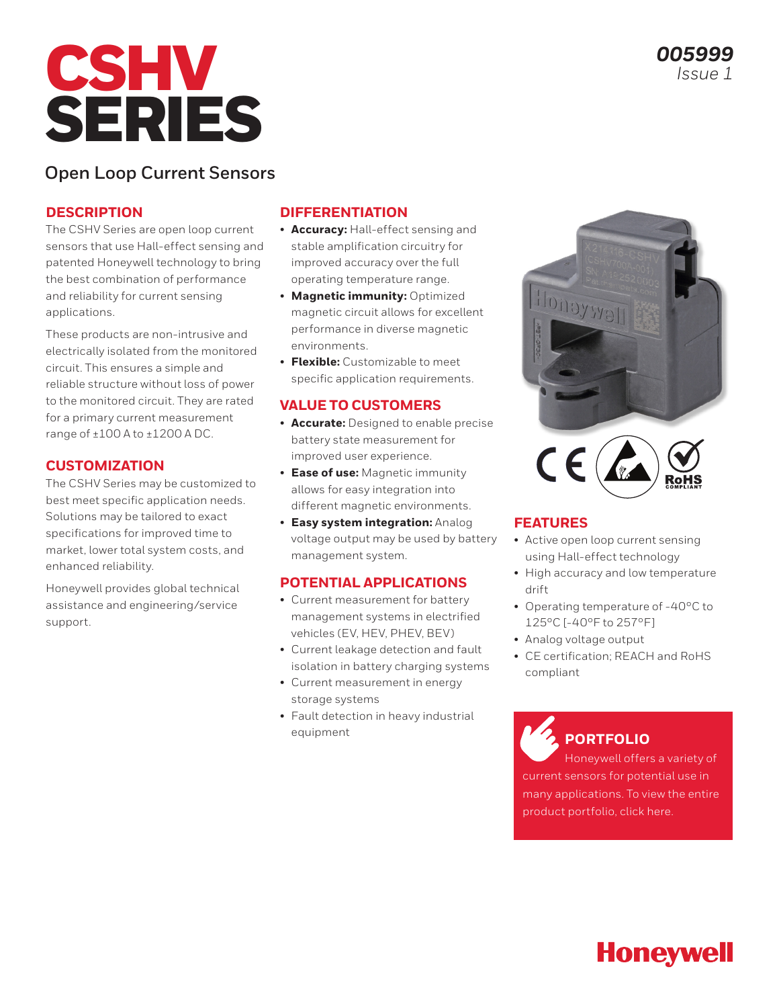

#### **DESCRIPTION**

The CSHV Series are open loop current sensors that use Hall-effect sensing and patented Honeywell technology to bring the best combination of performance and reliability for current sensing applications.

These products are non-intrusive and electrically isolated from the monitored circuit. This ensures a simple and reliable structure without loss of power to the monitored circuit. They are rated for a primary current measurement range of ±100 A to ±1200 A DC.

#### **CUSTOMIZATION**

The CSHV Series may be customized to best meet specific application needs. Solutions may be tailored to exact specifications for improved time to market, lower total system costs, and enhanced reliability.

Honeywell provides global technical assistance and engineering/service support.

#### **DIFFERENTIATION**

- **Accuracy:** Hall-effect sensing and stable amplification circuitry for improved accuracy over the full operating temperature range.
- **Magnetic immunity:** Optimized magnetic circuit allows for excellent performance in diverse magnetic environments.
- **Flexible:** Customizable to meet specific application requirements.

#### **VALUE TO CUSTOMERS**

- **Accurate:** Designed to enable precise battery state measurement for improved user experience.
- **Ease of use:** Magnetic immunity allows for easy integration into different magnetic environments.
- **Easy system integration:** Analog voltage output may be used by battery management system.

#### **POTENTIAL APPLICATIONS**

- Current measurement for battery management systems in electrified vehicles (EV, HEV, PHEV, BEV)
- Current leakage detection and fault isolation in battery charging systems
- Current measurement in energy storage systems
- Fault detection in heavy industrial equipment





## **FEATURES**

- Active open loop current sensing using Hall-effect technology
- High accuracy and low temperature drift
- Operating temperature of -40°C to 125°C [-40°F to 257°F]
- Analog voltage output
- CE certification; REACH and RoHS compliant

# **PORTFOLIO**

Honeywell offers a variety of current sensors for potential use in many applications. To view the entire product portfolio, click here.

## *005999 Issue 1*

# **Honeywell**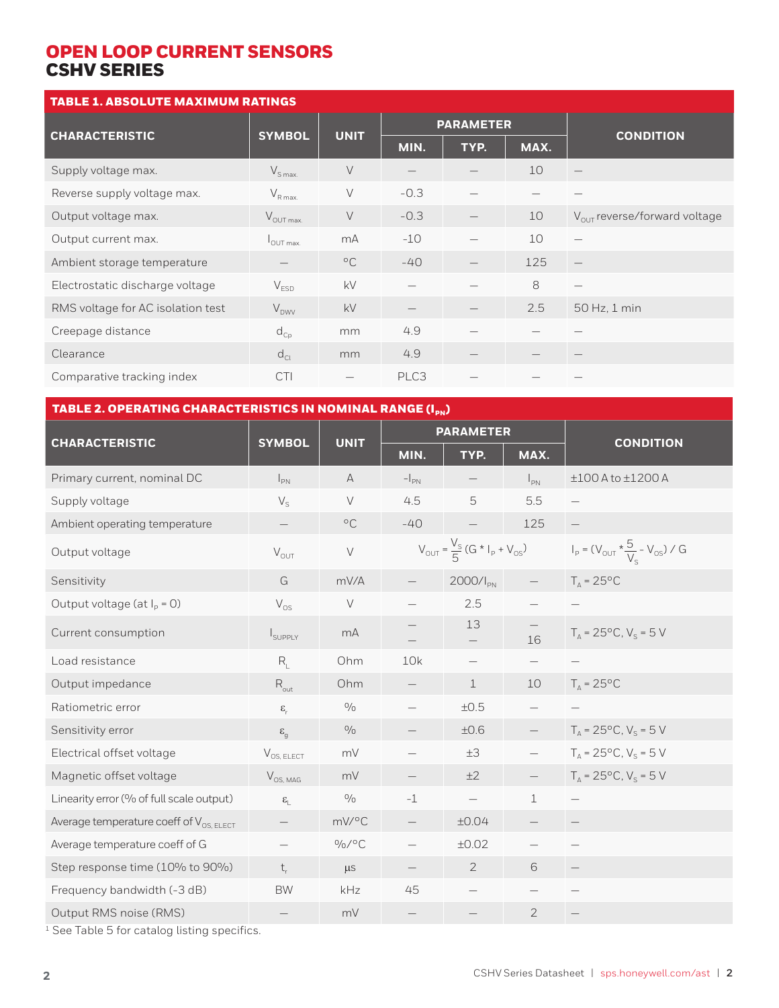| <b>TABLE 1. ABSOLUTE MAXIMUM RATINGS</b> |                       |              |                  |      |      |                                          |  |
|------------------------------------------|-----------------------|--------------|------------------|------|------|------------------------------------------|--|
| <b>CHARACTERISTIC</b>                    | <b>SYMBOL</b>         | <b>UNIT</b>  | <b>PARAMETER</b> |      |      |                                          |  |
|                                          |                       |              | MIN.             | TYP. | MAX. | <b>CONDITION</b>                         |  |
| Supply voltage max.                      | $V_{\text{S max.}}$   | V            |                  |      | 10   | $\overline{\phantom{m}}$                 |  |
| Reverse supply voltage max.              | $V_{R \text{ max}}$   | $\vee$       | $-0.3$           |      |      |                                          |  |
| Output voltage max.                      | $V_{\text{OUT max.}}$ | V            | $-0.3$           |      | 10   | $V_{\text{OUT}}$ reverse/forward voltage |  |
| Output current max.                      | $I_{\text{OUT max.}}$ | mA           | $-10$            |      | 10   |                                          |  |
| Ambient storage temperature              |                       | $^{\circ}$ C | $-40$            |      | 125  |                                          |  |
| Electrostatic discharge voltage          | $V_{ESD}$             | kV           |                  |      | 8    |                                          |  |
| RMS voltage for AC isolation test        | $V_{DW}$              | kV           |                  |      | 2.5  | 50 Hz, 1 min                             |  |
| Creepage distance                        | $d_{Cp}$              | mm           | 4.9              |      |      |                                          |  |
| Clearance                                | $d_{Cl}$              | mm           | 4.9              |      |      |                                          |  |
| Comparative tracking index               | <b>CTI</b>            |              | PLC3             |      |      |                                          |  |

#### TABLE 2. OPERATING CHARACTERISTICS IN NOMINAL RANGE  $(I_{PN})$

|                                              | <b>SYMBOL</b>                         | <b>UNIT</b>       | <b>PARAMETER</b>  |                                                                              |                          |                                                              |  |
|----------------------------------------------|---------------------------------------|-------------------|-------------------|------------------------------------------------------------------------------|--------------------------|--------------------------------------------------------------|--|
| <b>CHARACTERISTIC</b>                        |                                       |                   | MIN.              | TYP.                                                                         | MAX.                     | <b>CONDITION</b>                                             |  |
| Primary current, nominal DC                  | $I_{PN}$                              | $\mathsf A$       | $-\vert_{PN}$     |                                                                              | $I_{PN}$                 | $\pm 100$ A to $\pm 1200$ A                                  |  |
| Supply voltage                               | $V_{S}$                               | $\vee$            | 4.5               | 5                                                                            | 5.5                      | $\qquad \qquad -$                                            |  |
| Ambient operating temperature                |                                       | $^{\circ}$ C      | $-40$             |                                                                              | 125                      |                                                              |  |
| Output voltage                               | $V_{OUT}$                             | $\vee$            |                   | $V_{\text{OUT}} = \frac{V_{\text{S}}}{5} (G * I_{\text{p}} + V_{\text{OS}})$ |                          | $I_p = (V_{\text{OUT}} * \frac{5}{V_s} - V_{\text{OS}}) / G$ |  |
| Sensitivity                                  | G                                     | mV/A              |                   | 2000/l <sub>pN</sub>                                                         | $\overline{\phantom{m}}$ | $T_A = 25^{\circ}C$                                          |  |
| Output voltage (at $I_p = 0$ )               | $V_{OS}$                              | $\vee$            |                   | 2.5                                                                          |                          |                                                              |  |
| Current consumption                          | I <sub>SUPPLY</sub>                   | mA                |                   | 13                                                                           | 16                       | $T_A = 25^{\circ}$ C, $V_S = 5 V$                            |  |
| Load resistance                              | $R_{\rm r}$                           | Ohm               | 10k               | $\overline{\phantom{0}}$                                                     |                          |                                                              |  |
| Output impedance                             | $R_{\text{out}}$                      | Ohm               |                   | $\perp$                                                                      | 10                       | $T_A = 25^{\circ}C$                                          |  |
| Ratiometric error                            | $\boldsymbol{\varepsilon}_{\text{r}}$ | 0/0               |                   | ±0.5                                                                         |                          |                                                              |  |
| Sensitivity error                            | $\boldsymbol{\epsilon}_{\rm d}$       | $\frac{0}{0}$     |                   | ±0.6                                                                         |                          | $T_A = 25^{\circ}$ C, V <sub>S</sub> = 5 V                   |  |
| Electrical offset voltage                    | $V_{OS, ELECT}$                       | mV                |                   | $\pm 3$                                                                      |                          | $T_A = 25^{\circ}$ C, $V_S = 5 V$                            |  |
| Magnetic offset voltage                      | $V_{OS, MAG}$                         | mV                |                   | ±2                                                                           | $\overline{\phantom{0}}$ | $T_{\rm A}$ = 25°C, V <sub>s</sub> = 5 V                     |  |
| Linearity error (% of full scale output)     | $\epsilon_{L}$                        | 0/0               | $-1$              | $\overline{\phantom{0}}$                                                     | $1\,$                    |                                                              |  |
| Average temperature coeff of $V_{OS. ELECT}$ |                                       | mV/°C             |                   | ±0.04                                                                        |                          |                                                              |  |
| Average temperature coeff of G               |                                       | $\frac{0}{0}$ /°C |                   | ±0.02                                                                        |                          |                                                              |  |
| Step response time (10% to 90%)              | $t_{r}$                               | $\mu$ s           | $\qquad \qquad -$ | $\overline{2}$                                                               | 6                        | $\qquad \qquad -$                                            |  |
| Frequency bandwidth (-3 dB)                  | BW                                    | kHz               | 45                |                                                                              |                          | $\qquad \qquad -$                                            |  |
| Output RMS noise (RMS)                       |                                       | mV                |                   |                                                                              | $\overline{2}$           |                                                              |  |

 $1$  See Table 5 for catalog listing specifics.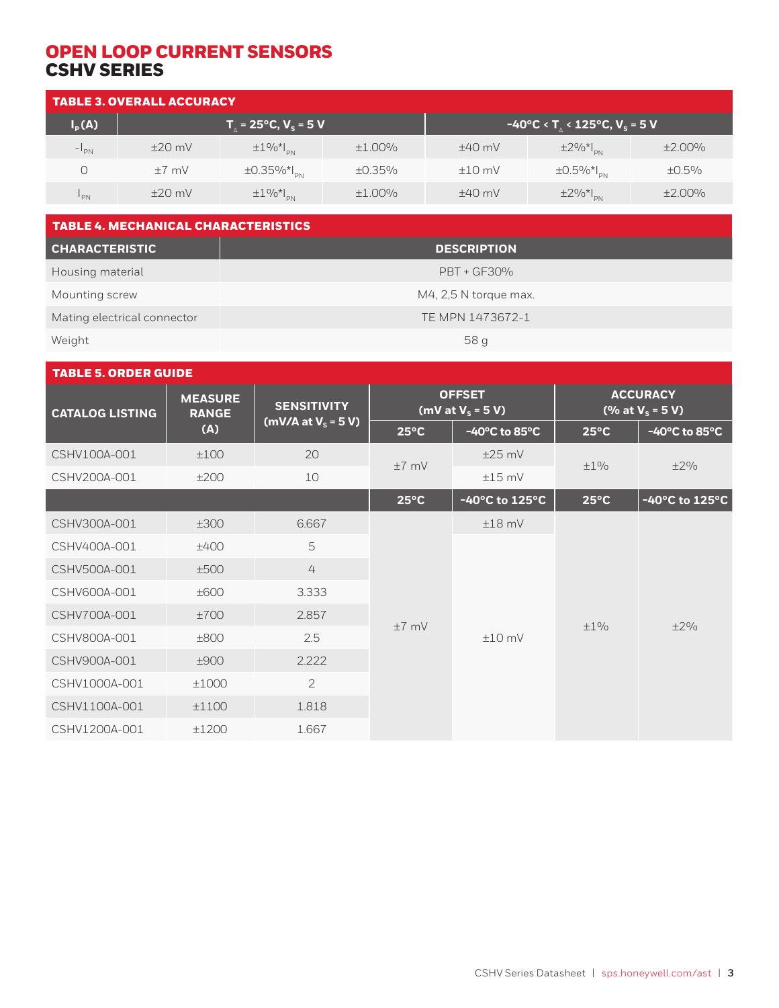| <b>TABLE 3. OVERALL ACCURACY</b> |                                                           |                                              |        |                                                    |                                        |             |  |  |
|----------------------------------|-----------------------------------------------------------|----------------------------------------------|--------|----------------------------------------------------|----------------------------------------|-------------|--|--|
| $I_{p}(A)$                       | T $_{\wedge}$ = 25°C, V $_{\text{S}}$ = 5 V $_{\text{S}}$ |                                              |        | -40°C < T $_{\circ}$ < 125°C, V <sub>s</sub> = 5 V |                                        |             |  |  |
| $-1_{PN}$                        | $\pm 20$ mV                                               | $\pm 1\%$ <sup>*</sup> $\vert_{\text{dust}}$ | ±1.00% | $±40$ mV                                           | $\pm 2\%$ * $I_{\text{dust}}$          | $±2.00\%$   |  |  |
|                                  | $±7$ mV                                                   | $±0.35\%$ <sup>*</sup> l <sub>DN</sub>       | ±0.35% | $±10$ mV                                           | $\pm 0.5\%$ * $I_{\text{dust}}$        | $\pm 0.5\%$ |  |  |
| $P_{\text{N}}$                   | $\pm 20$ mV                                               | $\pm 1\%$ <sup>*</sup> $I_{\text{PN}}$       | ±1.00% | $+40$ mV                                           | $\pm 2\%$ <sup>*</sup> $I_{\text{PN}}$ | ±2.00%      |  |  |

| <b>TABLE 4. MECHANICAL CHARACTERISTICS</b> |                       |  |  |  |  |
|--------------------------------------------|-----------------------|--|--|--|--|
| <b>CHARACTERISTIC</b>                      | <b>DESCRIPTION</b>    |  |  |  |  |
| Housing material                           | <b>PBT + GF30%</b>    |  |  |  |  |
| Mounting screw                             | M4, 2,5 N torque max. |  |  |  |  |
| Mating electrical connector                | TE MPN 1473672-1      |  |  |  |  |
| Weight                                     | 58 g                  |  |  |  |  |

#### TABLE 5. ORDER GUIDE

| <b>CATALOG LISTING</b> | <b>MEASURE</b><br><b>RANGE</b> | <b>SENSITIVITY</b>     |                | <b>OFFSET</b><br>(mV at $V_s = 5 V$ ) | <b>ACCURACY</b><br>(% at $V_s = 5 V$ ) |                                    |
|------------------------|--------------------------------|------------------------|----------------|---------------------------------------|----------------------------------------|------------------------------------|
|                        | (A)                            | (mV/A at $V_s = 5 V$ ) | $25^{\circ}$ C | $-40^{\circ}$ C to 85 $^{\circ}$ C    | $25^{\circ}$ C                         | $-40^{\circ}$ C to 85 $^{\circ}$ C |
| CSHV100A-001           | ±100                           | 20                     | $±7$ mV        | $±25$ mV                              | $\pm 1\%$                              | $\pm 2\%$                          |
| CSHV200A-001           | ±200                           | 10                     |                | $±15$ mV                              |                                        |                                    |
|                        |                                |                        | $25^{\circ}$ C | -40 $^{\circ}$ C to 125 $^{\circ}$ C  | $25^{\circ}$ C                         | -40°C to 125°C                     |
| CSHV300A-001           | ±300                           | 6.667                  |                | $±18$ mV                              | $+1\%$                                 | $+2%$                              |
| CSHV400A-001           | ±400                           | 5                      |                | $±10$ mV                              |                                        |                                    |
| CSHV500A-001           | ±500                           | $\overline{4}$         |                |                                       |                                        |                                    |
| CSHV600A-001           | ±600                           | 3.333                  |                |                                       |                                        |                                    |
| CSHV700A-001           | ±700                           | 2.857                  | $±7$ mV        |                                       |                                        |                                    |
| CSHV800A-001           | ±800                           | 2.5                    |                |                                       |                                        |                                    |
| CSHV900A-001           | ±900                           | 2.222                  |                |                                       |                                        |                                    |
| CSHV1000A-001          | ±1000                          | $\overline{2}$         |                |                                       |                                        |                                    |
| CSHV1100A-001          | ±1100                          | 1.818                  |                |                                       |                                        |                                    |
| CSHV1200A-001          | ±1200                          | 1.667                  |                |                                       |                                        |                                    |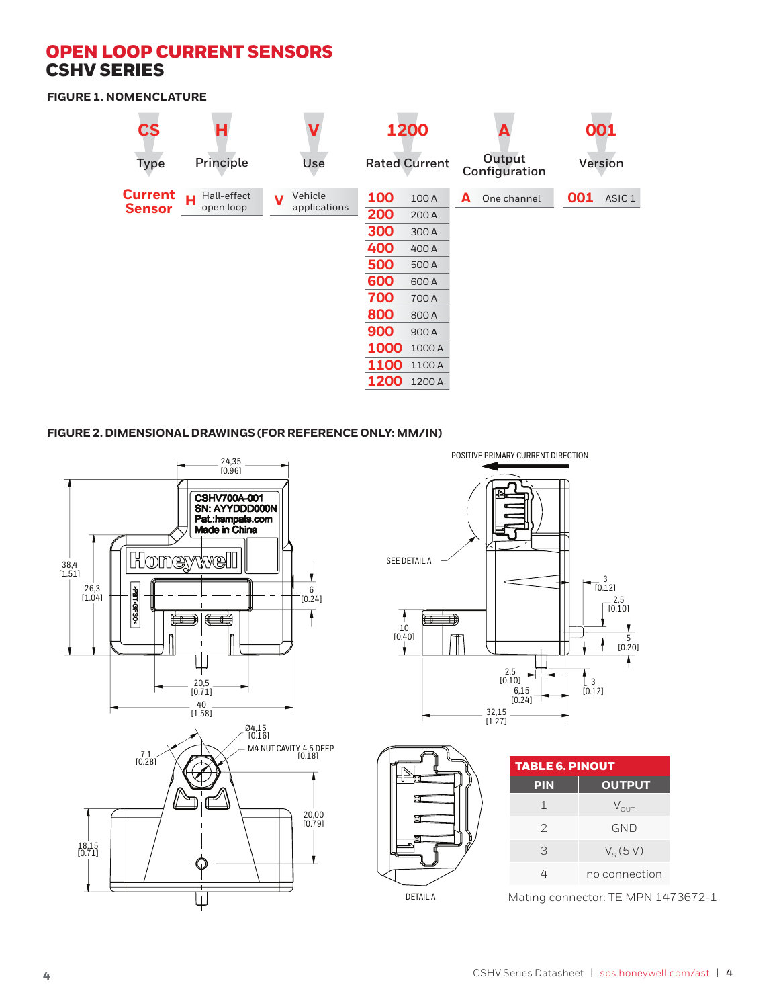**FIGURE 1. NOMENCLATURE**



#### **FIGURE 2. DIMENSIONAL DRAWINGS (FOR REFERENCE ONLY: MM/IN)**

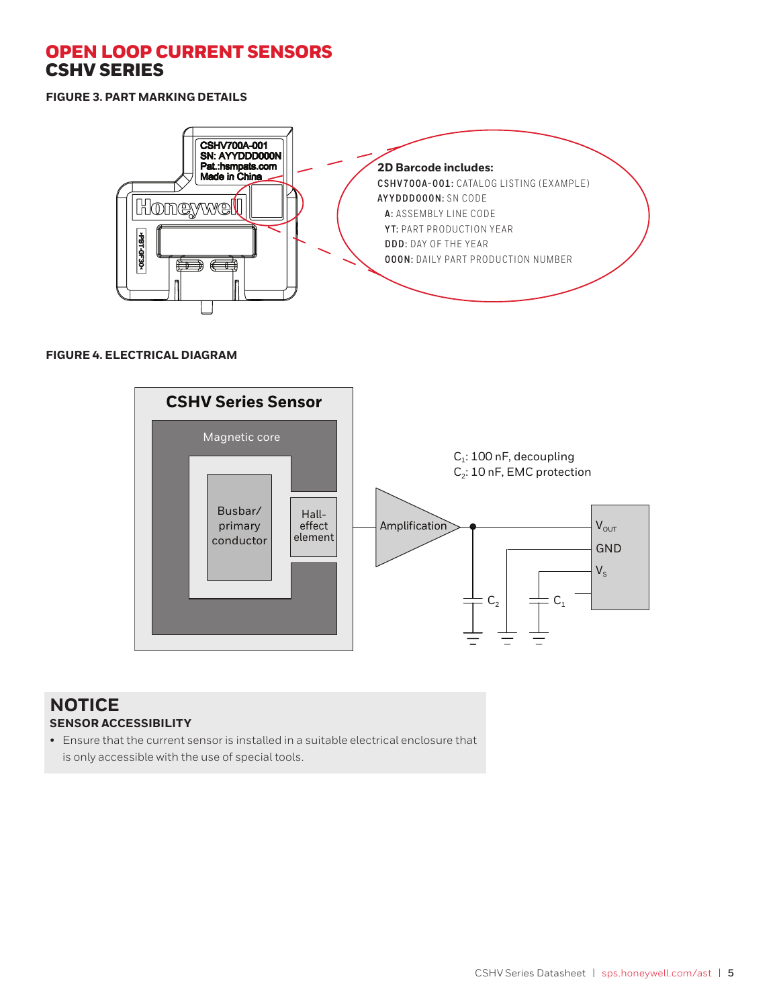**FIGURE 3. PART MARKING DETAILS**



#### **FIGURE 4. ELECTRICAL DIAGRAM**



#### **NOTICE SENSOR ACCESSIBILITY**

• Ensure that the current sensor is installed in a suitable electrical enclosure that is only accessible with the use of special tools.